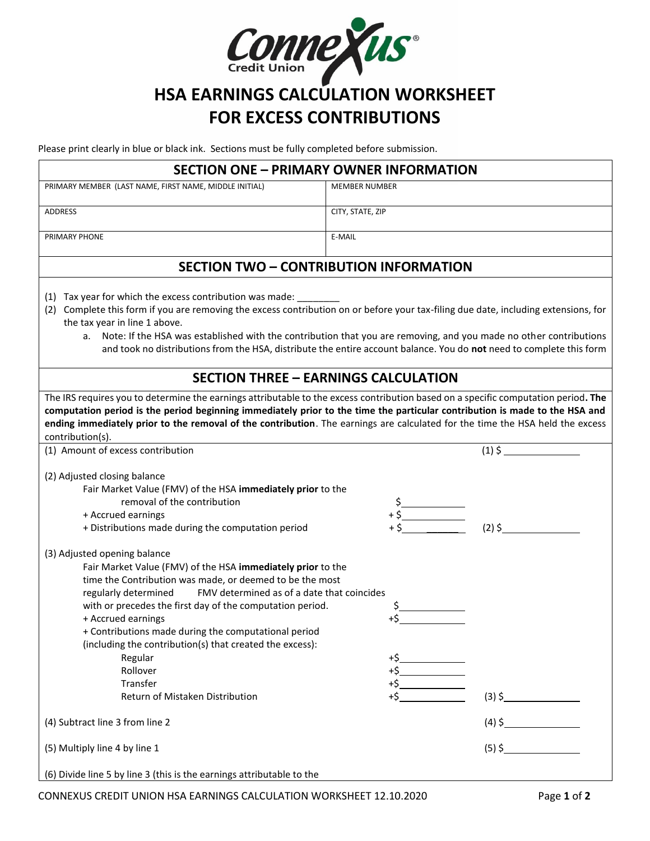

# **HSA EARNINGS CALCULATION WORKSHEET FOR EXCESS CONTRIBUTIONS**

Please print clearly in blue or black ink. Sections must be fully completed before submission.

| <b>SECTION ONE - PRIMARY OWNER INFORMATION</b>                                                                                                                                                                                                                                                                                                                                                                                                            |  |  |  |
|-----------------------------------------------------------------------------------------------------------------------------------------------------------------------------------------------------------------------------------------------------------------------------------------------------------------------------------------------------------------------------------------------------------------------------------------------------------|--|--|--|
| <b>MEMBER NUMBER</b>                                                                                                                                                                                                                                                                                                                                                                                                                                      |  |  |  |
| CITY, STATE, ZIP                                                                                                                                                                                                                                                                                                                                                                                                                                          |  |  |  |
| E-MAIL                                                                                                                                                                                                                                                                                                                                                                                                                                                    |  |  |  |
| <b>SECTION TWO - CONTRIBUTION INFORMATION</b>                                                                                                                                                                                                                                                                                                                                                                                                             |  |  |  |
| (1) Tax year for which the excess contribution was made: _________<br>(2) Complete this form if you are removing the excess contribution on or before your tax-filing due date, including extensions, for<br>a. Note: If the HSA was established with the contribution that you are removing, and you made no other contributions<br>and took no distributions from the HSA, distribute the entire account balance. You do not need to complete this form |  |  |  |
| <b>SECTION THREE - EARNINGS CALCULATION</b>                                                                                                                                                                                                                                                                                                                                                                                                               |  |  |  |
| The IRS requires you to determine the earnings attributable to the excess contribution based on a specific computation period. The<br>computation period is the period beginning immediately prior to the time the particular contribution is made to the HSA and<br>ending immediately prior to the removal of the contribution. The earnings are calculated for the time the HSA held the excess<br>contribution(s).                                    |  |  |  |
| $(1)\,$ \$                                                                                                                                                                                                                                                                                                                                                                                                                                                |  |  |  |
| Fair Market Value (FMV) of the HSA immediately prior to the<br>$+5$<br>$+5$<br>$+5$ (2) S<br>$(2)$ \$                                                                                                                                                                                                                                                                                                                                                     |  |  |  |
| Fair Market Value (FMV) of the HSA immediately prior to the<br>time the Contribution was made, or deemed to be the most<br>FMV determined as of a date that coincides<br>with or precedes the first day of the computation period.<br>$+5$<br>$(3)$ \$                                                                                                                                                                                                    |  |  |  |
|                                                                                                                                                                                                                                                                                                                                                                                                                                                           |  |  |  |
| $(5)$ \$                                                                                                                                                                                                                                                                                                                                                                                                                                                  |  |  |  |
|                                                                                                                                                                                                                                                                                                                                                                                                                                                           |  |  |  |

(6) Divide line 5 by line 3 (this is the earnings attributable to the